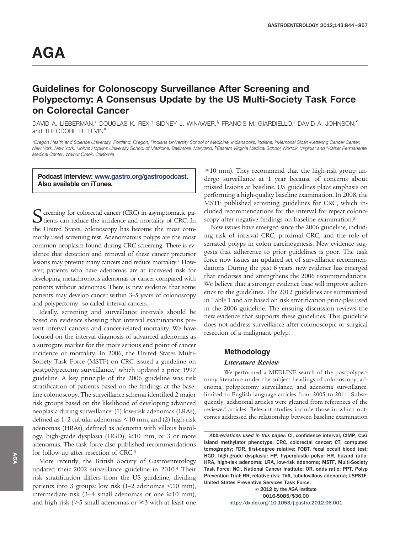# **Guidelines for Colonoscopy Surveillance After Screening and Polypectomy: A Consensus Update by the US Multi-Society Task Force on Colorectal Cancer**

DAVID A. LIEBERMAN,\* DOUGLAS K. REX,<sup>‡</sup> SIDNEY J. WINAWER,<sup>§</sup> FRANCIS M. GIARDIELLO,<sup>||</sup> DAVID A. JOHNSON,<sup>¶</sup> and THEODORE R. LEVIN<sup>#</sup>

*\*Oregon Health and Science University, Portland, Oregon; ‡ Indiana University School of Medicine, Indianapolis, Indiana; § Memorial Sloan-Kettering Cancer Center, New York, New York; Johns Hopkins University School of Medicine, Baltimore, Maryland; ¶ Eastern Virginia Medical School, Norfolk, Virginia; and # Kaiser Permanente Medical Center, Walnut Creek, California*

**Podcast interview: [www.gastro.org/gastropodcast.](http://www.gastro.org/gastropodcast) Also available on iTunes.**

Screening for colorectal cancer (CRC) in asymptomatic pa-<br>tients can reduce the incidence and mortality of CRC. In the United States, colonoscopy has become the most commonly used screening test. Adenomatous polyps are the most common neoplasm found during CRC screening. There is evidence that detection and removal of these cancer precursor lesions may prevent many cancers and reduce mortality.<sup>1</sup> However, patients who have adenomas are at increased risk for developing metachronous adenomas or cancer compared with patients without adenomas. There is new evidence that some patients may develop cancer within 3–5 years of colonoscopy and polypectomy—so-called interval cancers.

Ideally, screening and surveillance intervals should be based on evidence showing that interval examinations prevent interval cancers and cancer-related mortality. We have focused on the interval diagnosis of advanced adenomas as a surrogate marker for the more serious end point of cancer incidence or mortality. In 2006, the United States Multi-Society Task Force (MSTF) on CRC issued a guideline on postpolypectomy surveillance,<sup>2</sup> which updated a prior 1997 guideline. A key principle of the 2006 guideline was risk stratification of patients based on the findings at the baseline colonoscopy. The surveillance schema identified 2 major risk groups based on the likelihood of developing advanced neoplasia during surveillance: (1) low-risk adenomas (LRAs), defined as  $1-2$  tubular adenomas  $\leq 10$  mm, and (2) high-risk adenomas (HRAs), defined as adenoma with villous histology, high-grade dysplasia (HGD),  $\geq$ 10 mm, or 3 or more adenomas. The task force also published recommendations for follow-up after resection of CRC[.3](#page-11-2)

More recently, the British Society of Gastroenterology updated their 2002 surveillance guideline in 2010[.4](#page-11-3) Their risk stratification differs from the US guideline, dividing patients into 3 groups: low risk  $(1-2 \text{ adenomas} \leq 10 \text{ mm})$ , intermediate risk (3-4 small adenomas or one  $\geq$ 10 mm), and high risk ( $>5$  small adenomas or  $\geq$ 3 with at least one

 $\geq$ 10 mm). They recommend that the high-risk group undergo surveillance at 1 year because of concerns about missed lesions at baseline. US guidelines place emphasis on performing a high-quality baseline examination. In 2008, the MSTF published screening guidelines for CRC, which included recommendations for the interval for repeat colonoscopy after negative findings on baseline examination.<sup>5</sup>

New issues have emerged since the 2006 guideline, including risk of interval CRC, proximal CRC, and the role of serrated polyps in colon carcinogenesis. New evidence suggests that adherence to prior guidelines is poor. The task force now issues an updated set of surveillance recommendations. During the past 6 years, new evidence has emerged that endorses and strengthens the 2006 recommendations. We believe that a stronger evidence base will improve adherence to the guidelines. The 2012 guidelines are summarized in [Table 1](#page-1-0) and are based on risk stratification principles used in the 2006 guideline. The ensuing discussion reviews the new evidence that supports these guidelines. This guideline does not address surveillance after colonoscopic or surgical resection of a malignant polyp.

## **Methodology**

#### *Literature Review*

We performed a MEDLINE search of the postpolypectomy literature under the subject headings of colonoscopy, adenoma, polypectomy surveillance, and adenoma surveillance, limited to English language articles from 2005 to 2011. Subsequently, additional articles were gleaned from references of the reviewed articles. Relevant studies include those in which outcomes addressed the relationship between baseline examination

© 2012 by the AGA Institute 0016-5085/\$36.00 <http://dx.doi.org/10.1053/j.gastro.2012.06.001>

*Abbreviations used in this paper:* CI, confidence interval; CIMP, CpG island methylator phenotype; CRC, colorectal cancer; CT, computed tomography; FDR, first-degree relative; FOBT, fecal occult blood test; HGD, high-grade dysplasia; HP, hyperplastic polyp; HR, hazard ratio; HRA, high-risk adenoma; LRA, low-risk adenoma; MSTF, Multi-Society Task Force; NCI, National Cancer Institute; OR, odds ratio; PPT, Polyp Prevention Trial; RR, relative risk; TVA, tubulovillous adenoma; USPSTF, United States Preventive Services Task Force.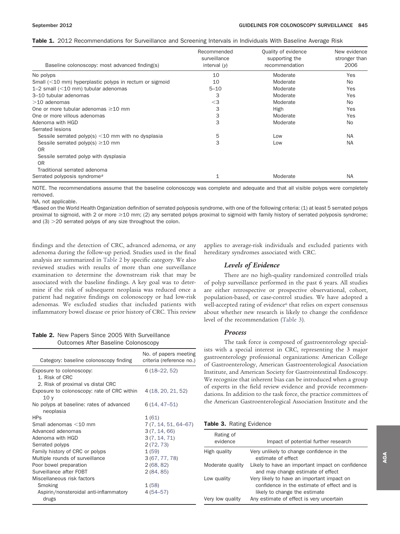<span id="page-1-0"></span>

| Table 1. 2012 Recommendations for Surveillance and Screening Intervals in Individuals With Baseline Average Risk |  |
|------------------------------------------------------------------------------------------------------------------|--|
|------------------------------------------------------------------------------------------------------------------|--|

| Baseline colonoscopy: most advanced finding(s)           | Recommended<br>surveillance<br>interval $(y)$ | Quality of evidence<br>supporting the<br>recommendation | New evidence<br>stronger than<br>2006 |
|----------------------------------------------------------|-----------------------------------------------|---------------------------------------------------------|---------------------------------------|
| No polyps                                                | 10                                            | Moderate                                                | Yes                                   |
| Small (<10 mm) hyperplastic polyps in rectum or sigmoid  | 10                                            | Moderate                                                | <b>No</b>                             |
| $1-2$ small (<10 mm) tubular adenomas                    | $5 - 10$                                      | Moderate                                                | Yes                                   |
| 3-10 tubular adenomas                                    | 3                                             | Moderate                                                | Yes                                   |
| $>10$ adenomas                                           | $<$ 3                                         | Moderate                                                | No.                                   |
| One or more tubular adenomas $\geq 10$ mm                | 3                                             | High                                                    | Yes                                   |
| One or more villous adenomas                             | 3                                             | Moderate                                                | Yes                                   |
| Adenoma with HGD                                         | 3                                             | Moderate                                                | <b>No</b>                             |
| Serrated lesions                                         |                                               |                                                         |                                       |
| Sessile serrated $polyp(s)$ < 10 mm with no dysplasia    | 5                                             | Low                                                     | <b>NA</b>                             |
| Sessile serrated polyp(s) $\geq$ 10 mm<br>0 <sub>R</sub> | 3                                             | Low                                                     | <b>NA</b>                             |
| Sessile serrated polyp with dysplasia<br>0 <sub>R</sub>  |                                               |                                                         |                                       |
| Traditional serrated adenoma                             |                                               |                                                         |                                       |
| Serrated polyposis syndrome <sup>a</sup>                 | 1                                             | Moderate                                                | <b>NA</b>                             |

NOTE. The recommendations assume that the baseline colonoscopy was complete and adequate and that all visible polyps were completely removed.

NA, not applicable.

*<sup>a</sup>*Based on the World Health Organization definition of serrated polyposis syndrome, with one of the following criteria: (1) at least 5 serrated polyps proximal to sigmoid, with 2 or more ≥10 mm; (2) any serrated polyps proximal to sigmoid with family history of serrated polyposis syndrome; and  $(3)$  >20 serrated polyps of any size throughout the colon.

findings and the detection of CRC, advanced adenoma, or any adenoma during the follow-up period. Studies used in the final analysis are summarized in [Table 2](#page-1-1) by specific category. We also reviewed studies with results of more than one surveillance examination to determine the downstream risk that may be associated with the baseline findings. A key goal was to determine if the risk of subsequent neoplasia was reduced once a patient had negative findings on colonoscopy or had low-risk adenomas. We excluded studies that included patients with inflammatory bowel disease or prior history of CRC. This review

<span id="page-1-1"></span>

| <b>Table 2.</b> New Papers Since 2005 With Surveillance |
|---------------------------------------------------------|
| Outcomes After Baseline Colonoscopy                     |

| Category: baseline colonoscopy finding                | No. of papers meeting<br>criteria (reference no.) |
|-------------------------------------------------------|---------------------------------------------------|
| Exposure to colonoscopy:                              | $6(18-22, 52)$                                    |
| 1. Risk of CRC                                        |                                                   |
| 2. Risk of proximal vs distal CRC                     |                                                   |
| Exposure to colonoscopy: rate of CRC within           | 4 (18, 20, 21, 52)                                |
| 10 <sub>V</sub>                                       |                                                   |
| No polyps at baseline: rates of advanced<br>neoplasia | 6 (14, 47–51)                                     |
| <b>HP<sub>S</sub></b>                                 | 1(61)                                             |
| Small adenomas $<$ 10 mm                              | 7 (7, 14, 51, 64–67)                              |
| Advanced adenomas                                     | 3(7, 14, 66)                                      |
| Adenoma with HGD                                      | 3(7, 14, 71)                                      |
| Serrated polyps                                       | 2(72, 73)                                         |
| Family history of CRC or polyps                       | 1(59)                                             |
| Multiple rounds of surveillance                       | 3(67, 77, 78)                                     |
| Poor bowel preparation                                | 2(68, 82)                                         |
| Surveillance after FOBT                               | 2 (84, 85)                                        |
| Miscellaneous risk factors                            |                                                   |
| Smoking                                               |                                                   |
|                                                       | 1(58)                                             |
| Aspirin/nonsteroidal anti-inflammatory<br>drugs       | 4 (54–57)                                         |

applies to average-risk individuals and excluded patients with hereditary syndromes associated with CRC.

#### *Levels of Evidence*

There are no high-quality randomized controlled trials of polyp surveillance performed in the past 6 years. All studies are either retrospective or prospective observational, cohort, population-based, or case-control studies. We have adopted a well-accepted rating of evidence<sup>6</sup> that relies on expert consensus about whether new research is likely to change the confidence level of the recommendation [\(Table 3\)](#page-1-2).

#### *Process*

The task force is composed of gastroenterology specialists with a special interest in CRC, representing the 3 major gastroenterology professional organizations: American College of Gastroenterology, American Gastroenterological Association Institute, and American Society for Gastrointestinal Endoscopy. We recognize that inherent bias can be introduced when a group of experts in the field review evidence and provide recommendations. In addition to the task force, the practice committees of the American Gastroenterological Association Institute and the

#### <span id="page-1-2"></span>Table 3. Rating Evidence

| Rating of<br>evidence | Impact of potential further research                                                                                       |
|-----------------------|----------------------------------------------------------------------------------------------------------------------------|
| High quality          | Very unlikely to change confidence in the<br>estimate of effect                                                            |
| Moderate quality      | Likely to have an important impact on confidence<br>and may change estimate of effect                                      |
| Low quality           | Very likely to have an important impact on<br>confidence in the estimate of effect and is<br>likely to change the estimate |
| Very low quality      | Any estimate of effect is very uncertain                                                                                   |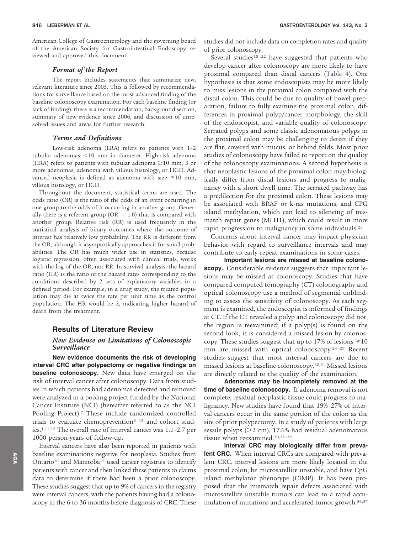American College of Gastroenterology and the governing board of the American Society for Gastrointestinal Endoscopy reviewed and approved this document.

#### *Format of the Report*

The report includes statements that summarize new, relevant literature since 2005. This is followed by recommendations for surveillance based on the most advanced finding of the baseline colonoscopy examination. For each baseline finding (or lack of finding), there is a recommendation, background section, summary of new evidence since 2006, and discussion of unresolved issues and areas for further research.

#### *Terms and Definitions*

Low-risk adenoma (LRA) refers to patients with 1–2 tubular adenomas <10 mm in diameter. High-risk adenoma (HRA) refers to patients with tubular adenoma  $\geq$ 10 mm, 3 or more adenomas, adenoma with villous histology, or HGD. Advanced neoplasia is defined as adenoma with size  $\geq 10$  mm, villous histology, or HGD.

Throughout the document, statistical terms are used. The odds ratio (OR) is the ratio of the odds of an event occurring in one group to the odds of it occurring in another group. Generally there is a referent group ( $OR = 1.0$ ) that is compared with another group. Relative risk (RR) is used frequently in the statistical analysis of binary outcomes where the outcome of interest has relatively low probability. The RR is different from the OR, although it asymptotically approaches it for small probabilities. The OR has much wider use in statistics, because logistic regression, often associated with clinical trials, works with the log of the OR, not RR. In survival analysis, the hazard ratio (HR) is the ratio of the hazard rates corresponding to the conditions described by 2 sets of explanatory variables in a defined period. For example, in a drug study, the treated population may die at twice the rate per unit time as the control population. The HR would be 2, indicating higher hazard of death from the treatment.

## **Results of Literature Review**

## *New Evidence on Limitations of Colonoscopic Surveillance*

**New evidence documents the risk of developing interval CRC after polypectomy or negative findings on baseline colonoscopy.** New data have emerged on the risk of interval cancer after colonoscopy. Data from studies in which patients had adenomas detected and removed were analyzed in a pooling project funded by the National Cancer Institute (NCI) (hereafter referred to as the NCI Pooling Project)[.7](#page-11-6) These include randomized controlled trials to evaluate chemoprevention $8-13$  and cohort studies[.1,14,15](#page-11-0) The overall rate of interval cancer was 1.1–2.7 per 1000 person-years of follow-up.

Interval cancers have also been reported in patients with baseline examinations negative for neoplasia. Studies from Ontario<sup>16</sup> and Manitoba<sup>17</sup> used cancer registries to identify patients with cancer and then linked these patients to claims data to determine if there had been a prior colonoscopy. These studies suggest that up to 9% of cancers in the registry were interval cancers, with the patients having had a colonoscopy in the 6 to 36 months before diagnosis of CRC. These

studies did not include data on completion rates and quality of prior colonoscopy.

Several studies<sup>18-22</sup> have suggested that patients who develop cancer after colonoscopy are more likely to have proximal compared than distal cancers [\(Table 4\)](#page-3-0). One hypothesis is that some endoscopists may be more likely to miss lesions in the proximal colon compared with the distal colon. This could be due to quality of bowel preparation, failure to fully examine the proximal colon, differences in proximal polyp/cancer morphology, the skill of the endoscopist, and variable quality of colonoscopy. Serrated polyps and some classic adenomatous polyps in the proximal colon may be challenging to detect if they are flat, covered with mucus, or behind folds. Most prior studies of colonoscopy have failed to report on the quality of the colonoscopy examinations. A second hypothesis is that neoplastic lesions of the proximal colon may biologically differ from distal lesions and progress to malignancy with a short dwell time. The serrated pathway has a predilection for the proximal colon. These lesions may be associated with BRAF or k-ras mutations, and CPG island methylation, which can lead to silencing of mismatch repair genes (MLH1), which could result in more rapid progression to malignancy in some individuals.<sup>23</sup>

Concerns about interval cancer may impact physician behavior with regard to surveillance intervals and may contribute to early repeat examinations in some cases.

**Important lesions are missed at baseline colonoscopy.** Considerable evidence suggests that important lesions may be missed at colonoscopy. Studies that have compared computed tomography (CT) colonography and optical colonoscopy use a method of segmental unblinding to assess the sensitivity of colonoscopy. As each segment is examined, the endoscopist is informed of findings at CT. If the CT revealed a polyp and colonoscopy did not, the region is reexamined; if a polyp(s) is found on the second look, it is considered a missed lesion by colonoscopy. These studies suggest that up to 17% of lesions  $\geq$  10 mm are missed with optical colonoscopy.<sup>24-29</sup> Recent studies suggest that most interval cancers are due to missed lesions at baseline colonoscopy[.30,31](#page-12-6) Missed lesions are directly related to the quality of the examination.

**Adenomas may be incompletely removed at the time of baseline colonoscopy.** If adenoma removal is not complete, residual neoplastic tissue could progress to malignancy. New studies have found that 19%–27% of interval cancers occur in the same portion of the colon as the site of prior polypectomy. In a study of patients with large sessile polyps (>2 cm), 17.6% had residual adenomatous tissue when reexamined[.30,32–35](#page-12-6)

**Interval CRC may biologically differ from prevalent CRC.** When interval CRCs are compared with prevalent CRC, interval lesions are more likely located in the proximal colon, be microsatellite unstable, and have CpG island methylator phenotype (CIMP). It has been proposed that the mismatch repair defects associated with microsatellite unstable tumors can lead to a rapid accumulation of mutations and accelerated tumor growth[.36,37](#page-12-7)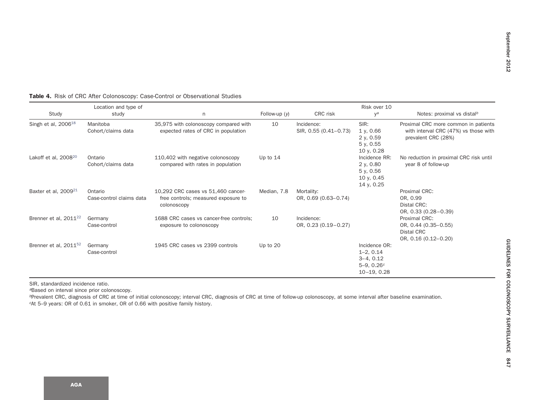|                                   | Location and type of                |                                                                                          |                 |                                     | Risk over 10                                                                     |                                                                                                      |
|-----------------------------------|-------------------------------------|------------------------------------------------------------------------------------------|-----------------|-------------------------------------|----------------------------------------------------------------------------------|------------------------------------------------------------------------------------------------------|
| Study                             | study                               | n                                                                                        | Follow-up $(y)$ | CRC risk                            | $\mathsf{v}^a$                                                                   | Notes: proximal vs distal <sup>b</sup>                                                               |
| Singh et al, $2006^{18}$          | Manitoba<br>Cohort/claims data      | 35,975 with colonoscopy compared with<br>expected rates of CRC in population             | 10              | Incidence:<br>SIR, 0.55 (0.41-0.73) | SIR:<br>1 y, 0.66<br>2 y, 0.59<br>5 y, 0.55<br>10 y, 0.28                        | Proximal CRC more common in patients<br>with interval CRC (47%) vs those with<br>prevalent CRC (28%) |
| Lakoff et al, $2008^{20}$         | Ontario<br>Cohort/claims data       | 110,402 with negative colonoscopy<br>compared with rates in population                   | Up to $14$      |                                     | Incidence RR:<br>2 y, 0.80<br>5 y, 0.56<br>10 y, 0.45<br>14 y, 0.25              | No reduction in proximal CRC risk until<br>year 8 of follow-up                                       |
| Baxter et al, 2009 <sup>21</sup>  | Ontario<br>Case-control claims data | 10,292 CRC cases vs 51,460 cancer-<br>free controls; measured exposure to<br>colonoscopy | Median, 7.8     | Mortality:<br>OR, 0.69 (0.63-0.74)  |                                                                                  | Proximal CRC:<br>OR, 0.99<br>Distal CRC:<br>OR, 0.33 (0.28-0.39)                                     |
| Brenner et al, $2011^{22}$        | Germany<br>Case-control             | 1688 CRC cases vs cancer-free controls;<br>exposure to colonoscopy                       | 10              | Incidence:<br>OR, 0.23 (0.19-0.27)  |                                                                                  | Proximal CRC:<br>OR, 0.44 (0.35-0.55)<br>Distal CRC<br>OR, 0.16 (0.12-0.20)                          |
| Brenner et al, 2011 <sup>52</sup> | Germany<br>Case-control             | 1945 CRC cases vs 2399 controls                                                          | Up to 20        |                                     | Incidence OR:<br>$1 - 2, 0.14$<br>$3 - 4, 0.12$<br>$5-9, 0.26c$<br>$10-19, 0.28$ |                                                                                                      |

#### Table 4. Risk of CRC After Colonoscopy: Case-Control or Observational Studies

SIR, standardized incidence ratio.

*<sup>a</sup>*Based on interval since prior colonoscopy.

<span id="page-3-0"></span>*b*Prevalent CRC, diagnosis of CRC at time of initial colonoscopy; interval CRC, diagnosis of CRC at time of follow-up colonoscopy, at some interval after baseline examination. *<sup>c</sup>*At 5–9 years: OR of 0.61 in smoker, OR of 0.66 with positive family history.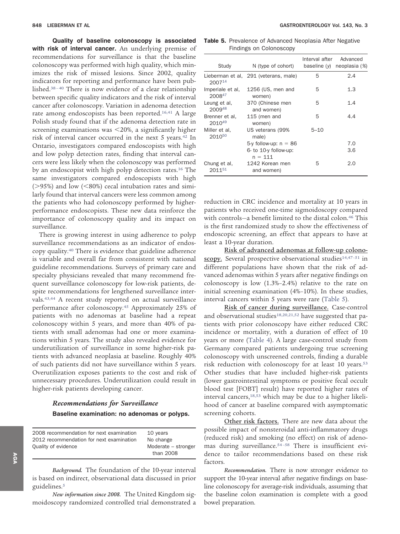**Quality of baseline colonoscopy is associated with risk of interval cancer.** An underlying premise of recommendations for surveillance is that the baseline colonoscopy was performed with high quality, which minimizes the risk of missed lesions. Since 2002, quality indicators for reporting and performance have been published[.38–40](#page-12-13) There is now evidence of a clear relationship between specific quality indicators and the risk of interval cancer after colonoscopy. Variation in adenoma detection rate among endoscopists has been reported.<sup>16,41</sup> A large Polish study found that if the adenoma detection rate in screening examinations was  $\leq$ 20%, a significantly higher risk of interval cancer occurred in the next 5 years[.42](#page-12-14) In Ontario, investigators compared endoscopists with high and low polyp detection rates, finding that interval cancers were less likely when the colonoscopy was performed by an endoscopist with high polyp detection rates[.16](#page-12-2) The same investigators compared endoscopists with high  $($  >95%) and low ( $\leq$ 80%) cecal intubation rates and similarly found that interval cancers were less common among the patients who had colonoscopy performed by higherperformance endoscopists. These new data reinforce the importance of colonoscopy quality and its impact on surveillance.

There is growing interest in using adherence to polyp surveillance recommendations as an indicator of endoscopy quality[.40](#page-12-15) There is evidence that guideline adherence is variable and overall far from consistent with national guideline recommendations. Surveys of primary care and specialty physicians revealed that many recommend frequent surveillance colonoscopy for low-risk patients, despite recommendations for lengthened surveillance intervals[.43,44](#page-12-16) A recent study reported on actual surveillance performance after colonoscopy[.45](#page-12-17) Approximately 25% of patients with no adenomas at baseline had a repeat colonoscopy within 5 years, and more than 40% of patients with small adenomas had one or more examinations within 5 years. The study also revealed evidence for underutilization of surveillance in some higher-risk patients with advanced neoplasia at baseline. Roughly 40% of such patients did not have surveillance within 5 years. Overutilization exposes patients to the cost and risk of unnecessary procedures. Underutilization could result in higher-risk patients developing cancer.

## *Recommendations for Surveillance* **Baseline examination: no adenomas or polyps.**

| 2008 recommendation for next examination | 10 vears            |
|------------------------------------------|---------------------|
| 2012 recommendation for next examination | No change           |
| Quality of evidence                      | Moderate – stronger |
|                                          | than 2008           |

*Background.* The foundation of the 10-year interval is based on indirect, observational data discussed in prior guidelines[.5](#page-11-4)

*New information since 2008.* The United Kingdom sigmoidoscopy randomized controlled trial demonstrated a

<span id="page-4-0"></span>Table 5. Prevalence of Advanced Neoplasia After Negative Findings on Colonoscopy

| Study                               | N (type of cohort)                    | Interval after Advanced<br>baseline $(y)$ | neoplasia $(\%)$ |
|-------------------------------------|---------------------------------------|-------------------------------------------|------------------|
| $2007^{14}$                         | Lieberman et al, 291 (veterans, male) | 5                                         | 2.4              |
| Imperiale et al.<br>200847          | 1256 (US, men and<br>women)           | 5                                         | 1.3              |
| Leung et al.<br>200948              | 370 (Chinese men<br>and women)        | 5                                         | 1.4              |
| Brenner et al,<br>$2010^{49}$       | 115 (men and<br>women)                | 5                                         | 4.4              |
| Miller et al,<br>2010 <sup>50</sup> | US veterans (99%<br>male)             | $5 - 10$                                  |                  |
|                                     | 5-y follow-up: $n = 86$               |                                           | 7.0              |
|                                     | 6- to 10-y follow-up:<br>$n = 111$    |                                           | 3.6              |
| Chung et al,<br>2011 <sup>51</sup>  | 1242 Korean men<br>and women)         | 5                                         | 2.0              |

reduction in CRC incidence and mortality at 10 years in patients who received one-time sigmoidoscopy compared with controls—a benefit limited to the distal colon[.46](#page-12-18) This is the first randomized study to show the effectiveness of endoscopic screening, an effect that appears to have at least a 10-year duration.

Risk of advanced adenomas at follow-up colonoscopy. Several prospective observational studies<sup>14,47-51</sup> in different populations have shown that the risk of advanced adenomas within 5 years after negative findings on colonoscopy is low (1.3%–2.4%) relative to the rate on initial screening examination (4%–10%). In these studies, interval cancers within 5 years were rare [\(Table 5\)](#page-4-0).

Risk of cancer during surveillance. Case-control and observational studies<sup>18,20,21,52</sup> have suggested that patients with prior colonoscopy have either reduced CRC incidence or mortality, with a duration of effect of 10 years or more [\(Table 4\)](#page-3-0). A large case-control study from Germany compared patients undergoing true screening colonoscopy with unscreened controls, finding a durable risk reduction with colonoscopy for at least 10 years.<sup>53</sup> Other studies that have included higher-risk patients (lower gastrointestinal symptoms or positive fecal occult blood test [FOBT] result) have reported higher rates of interval cancers[,18,53](#page-12-0) which may be due to a higher likelihood of cancer at baseline compared with asymptomatic screening cohorts.

Other risk factors. There are new data about the possible impact of nonsteroidal anti-inflammatory drugs (reduced risk) and smoking (no effect) on risk of adenomas during surveillance[.54 –58](#page-13-7) There is insufficient evidence to tailor recommendations based on these risk factors.

*Recommendation.* There is now stronger evidence to support the 10-year interval after negative findings on baseline colonoscopy for average-risk individuals, assuming that the baseline colon examination is complete with a good bowel preparation.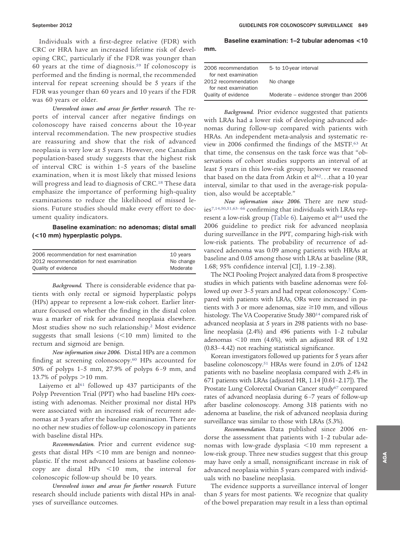Individuals with a first-degree relative (FDR) with CRC or HRA have an increased lifetime risk of developing CRC, particularly if the FDR was younger than 60 years at the time of diagnosis[.59](#page-13-2) If colonoscopy is performed and the finding is normal, the recommended interval for repeat screening should be 5 years if the FDR was younger than 60 years and 10 years if the FDR was 60 years or older.

*Unresolved issues and areas for further research.* The reports of interval cancer after negative findings on colonoscopy have raised concerns about the 10-year interval recommendation. The new prospective studies are reassuring and show that the risk of advanced neoplasia is very low at 5 years. However, one Canadian population-based study suggests that the highest risk of interval CRC is within 1–5 years of the baseline examination, when it is most likely that missed lesions will progress and lead to diagnosis of CRC.<sup>18</sup> These data emphasize the importance of performing high-quality examinations to reduce the likelihood of missed lesions. Future studies should make every effort to document quality indicators.

#### **Baseline examination: no adenomas; distal small (<10 mm) hyperplastic polyps.**

| 2006 recommendation for next examination | 10 years  |
|------------------------------------------|-----------|
| 2012 recommendation for next examination | No change |
| Quality of evidence                      | Moderate  |

*Background.* There is considerable evidence that patients with only rectal or sigmoid hyperplastic polyps (HPs) appear to represent a low-risk cohort. Earlier literature focused on whether the finding in the distal colon was a marker of risk for advanced neoplasia elsewhere. Most studies show no such relationship[.2](#page-11-1) Most evidence suggests that small lesions  $(<10$  mm) limited to the rectum and sigmoid are benign.

*New information since 2006.* Distal HPs are a common finding at screening colonoscopy[.60](#page-13-9) HPs accounted for 50% of polyps 1–5 mm, 27.9% of polyps 6 –9 mm, and 13.7% of polyps  $>10$  mm.

Laiyemo et al $61$  followed up 437 participants of the Polyp Prevention Trial (PPT) who had baseline HPs coexisting with adenomas. Neither proximal nor distal HPs were associated with an increased risk of recurrent adenomas at 3 years after the baseline examination. There are no other new studies of follow-up colonoscopy in patients with baseline distal HPs.

*Recommendation.* Prior and current evidence suggests that distal HPs  $<$  10 mm are benign and nonneoplastic. If the most advanced lesions at baseline colonoscopy are distal HPs  $\leq 10$  mm, the interval for colonoscopic follow-up should be 10 years.

*Unresolved issues and areas for further research.* Future research should include patients with distal HPs in analyses of surveillance outcomes.

**Baseline examination: 1–2 tubular adenomas <10 mm.**

| 2006 recommendation  | 5- to 10-year interval                 |
|----------------------|----------------------------------------|
| for next examination |                                        |
| 2012 recommendation  | No change                              |
| for next examination |                                        |
| Quality of evidence  | Moderate – evidence stronger than 2006 |
|                      |                                        |

*Background.* Prior evidence suggested that patients with LRAs had a lower risk of developing advanced adenomas during follow-up compared with patients with HRAs. An independent meta-analysis and systematic review in 2006 confirmed the findings of the MSTF[.63](#page-13-10) At that time, the consensus on the task force was that "observations of cohort studies supports an interval of at least 5 years in this low-risk group; however we reasoned that based on the data from Atkin et  $al^{62}$ ...that a 10 year interval, similar to that used in the average-risk population, also would be acceptable."

*New information since 2006.* There are new studies<sup>7,14,50,51,63-66</sup> confirming that individuals with LRAs rep-resent a low-risk group [\(Table 6\)](#page-6-0). Laiyemo et al<sup>64</sup> used the 2006 guideline to predict risk for advanced neoplasia during surveillance in the PPT, comparing high-risk with low-risk patients. The probability of recurrence of advanced adenoma was 0.09 among patients with HRAs at baseline and 0.05 among those with LRAs at baseline (RR, 1.68; 95% confidence interval [CI], 1.19 –2.38).

The NCI Pooling Project analyzed data from 8 prospective studies in which patients with baseline adenomas were followed up over 3–5 years and had repeat colonoscopy[.7](#page-11-6) Compared with patients with LRAs, ORs were increased in patients with 3 or more adenomas, size  $\geq$ 10 mm, and villous histology. The VA Cooperative Study 380<sup>14</sup> compared risk of advanced neoplasia at 5 years in 298 patients with no baseline neoplasia (2.4%) and 496 patients with 1–2 tubular adenomas  $\leq 10$  mm (4.6%), with an adjusted RR of 1.92 (0.83–4.42) not reaching statistical significance.

Korean investigators followed up patients for 5 years after baseline colonoscopy[.51](#page-12-23) HRAs were found in 2.0% of 1242 patients with no baseline neoplasia compared with 2.4% in 671 patients with LRAs (adjusted HR, 1.14 [0.61–2.17]). The Prostate Lung Colorectal Ovarian Cancer study<sup>67</sup> compared rates of advanced neoplasia during 6–7 years of follow-up after baseline colonoscopy. Among 318 patients with no adenoma at baseline, the risk of advanced neoplasia during surveillance was similar to those with LRAs (5.3%).

*Recommendation.* Data published since 2006 endorse the assessment that patients with 1–2 tubular adenomas with low-grade dysplasia  $\leq 10$  mm represent a low-risk group. Three new studies suggest that this group may have only a small, nonsignificant increase in risk of advanced neoplasia within 5 years compared with individuals with no baseline neoplasia.

The evidence supports a surveillance interval of longer than 5 years for most patients. We recognize that quality of the bowel preparation may result in a less than optimal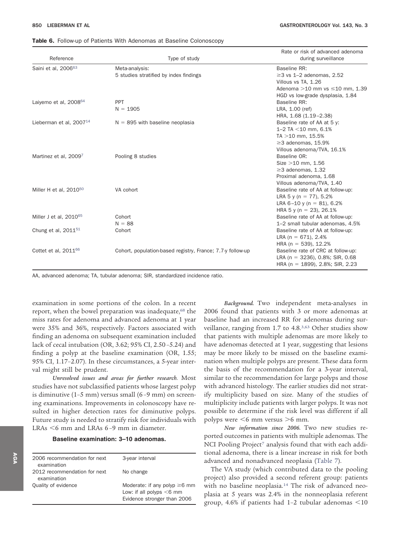<span id="page-6-0"></span>

|  |  | Table 6. Follow-up of Patients With Adenomas at Baseline Colonoscopy |  |  |  |  |  |  |  |
|--|--|----------------------------------------------------------------------|--|--|--|--|--|--|--|
|--|--|----------------------------------------------------------------------|--|--|--|--|--|--|--|

| Reference                           | Type of study                                              | Rate or risk of advanced adenoma<br>during surveillance                                                                                             |
|-------------------------------------|------------------------------------------------------------|-----------------------------------------------------------------------------------------------------------------------------------------------------|
| Saini et al, 200663                 | Meta-analysis:<br>5 studies stratified by index findings   | Baseline RR:<br>$\geq$ 3 vs 1-2 adenomas, 2.52<br>Villous vs TA, 1.26<br>Adenoma $>10$ mm vs $\leq 10$ mm, 1.39<br>HGD vs low-grade dysplasia, 1.84 |
| Laiyemo et al, $2008^{64}$          | <b>PPT</b><br>$N = 1905$                                   | Baseline RR:<br>LRA, 1.00 (ref)<br>HRA, 1.68 (1.19-2.38)                                                                                            |
| Lieberman et al, 2007 <sup>14</sup> | $N = 895$ with baseline neoplasia                          | Baseline rate of AA at 5 y:<br>1-2 TA $<$ 10 mm, 6.1%<br>TA $>$ 10 mm, 15.5%<br>$\geq$ 3 adenomas, 15.9%<br>Villous adenoma/TVA, 16.1%              |
| Martinez et al, 20097               | Pooling 8 studies                                          | Baseline OR:<br>Size $>10$ mm, 1.56<br>$\geq$ 3 adenomas, 1.32<br>Proximal adenoma, 1.68<br>Villous adenoma/TVA, 1.40                               |
| Miller H et al, $2010^{50}$         | VA cohort                                                  | Baseline rate of AA at follow-up:<br>LRA 5 y (n = 77), 5.2%<br>LRA 6-10 y (n = 81), 6.2%<br>HRA 5 y (n = 23), 26.1%                                 |
| Miller J et al, $2010^{65}$         | Cohort<br>$N = 88$                                         | Baseline rate of AA at follow-up:<br>1-2 small tubular adenomas, 4.5%                                                                               |
| Chung et al, $2011^{51}$            | Cohort                                                     | Baseline rate of AA at follow-up:<br>LRA (n = $671$ ), 2.4%<br>HRA ( $n = 539$ ), 12.2%                                                             |
| Cottet et al, $2011^{66}$           | Cohort, population-based registry, France; 7.7-y follow-up | Baseline rate of CRC at follow-up:<br>LRA (n = 3236), 0.8%; SIR, 0.68<br>HRA (n = 1899), 2.8%; SIR, 2.23                                            |

AA, advanced adenoma; TA, tubular adenoma; SIR, standardized incidence ratio.

examination in some portions of the colon. In a recent report, when the bowel preparation was inadequate,<sup>68</sup> the miss rates for adenoma and advanced adenoma at 1 year were 35% and 36%, respectively. Factors associated with finding an adenoma on subsequent examination included lack of cecal intubation (OR, 3.62; 95% CI, 2.50 –5.24) and finding a polyp at the baseline examination (OR, 1.55; 95% CI, 1.17–2.07). In these circumstances, a 5-year interval might still be prudent.

*Unresolved issues and areas for further research.* Most studies have not subclassified patients whose largest polyp is diminutive  $(1-5 \text{ mm})$  versus small  $(6-9 \text{ mm})$  on screening examinations. Improvements in colonoscopy have resulted in higher detection rates for diminutive polyps. Future study is needed to stratify risk for individuals with LRAs  $\leq 6$  mm and LRAs 6-9 mm in diameter.

| Baseline examination: 3–10 adenomas. |  |
|--------------------------------------|--|
|                                      |  |

| 2006 recommendation for next<br>examination | 3-year interval                                                                                  |
|---------------------------------------------|--------------------------------------------------------------------------------------------------|
| 2012 recommendation for next<br>examination | No change                                                                                        |
| Quality of evidence                         | Moderate: if any polyp $\geq 6$ mm<br>Low: if all polyps $<$ 6 mm<br>Evidence stronger than 2006 |

*Background.* Two independent meta-analyses in 2006 found that patients with 3 or more adenomas at baseline had an increased RR for adenomas during surveillance, ranging from 1.7 to 4.8[.3,63](#page-11-2) Other studies show that patients with multiple adenomas are more likely to have adenomas detected at 1 year, suggesting that lesions may be more likely to be missed on the baseline examination when multiple polyps are present. These data form the basis of the recommendation for a 3-year interval, similar to the recommendation for large polyps and those with advanced histology. The earlier studies did not stratify multiplicity based on size. Many of the studies of multiplicity include patients with larger polyps. It was not possible to determine if the risk level was different if all polyps were  $\leq 6$  mm versus  $\geq 6$  mm.

*New information since 2006.* Two new studies reported outcomes in patients with multiple adenomas. The NCI Pooling Project<sup>7</sup> analysis found that with each additional adenoma, there is a linear increase in risk for both advanced and nonadvanced neoplasia [\(Table 7\)](#page-7-0).

The VA study (which contributed data to the pooling project) also provided a second referent group: patients with no baseline neoplasia.<sup>14</sup> The risk of advanced neoplasia at 5 years was 2.4% in the nonneoplasia referent group, 4.6% if patients had 1-2 tubular adenomas  $\leq 10$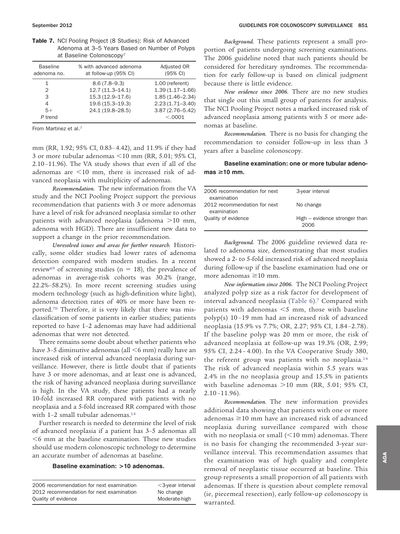<span id="page-7-0"></span>

| <b>Baseline</b><br>adenoma no. | % with advanced adenoma<br>at follow-up (95% CI) | Adjusted OR<br>(95% CI) |
|--------------------------------|--------------------------------------------------|-------------------------|
| 1                              | $8.6(7.8-9.3)$                                   | 1.00 (referent)         |
| 2                              | $12.7(11.3 - 14.1)$                              | $1.39(1.17 - 1.66)$     |
| 3                              | $15.3(12.9 - 17.6)$                              | $1.85(1.46 - 2.34)$     |
| 4                              | 19.6 (15.3-19.3)                                 | $2.23(1.71 - 3.40)$     |
| $5+$                           | 24.1 (19.8-28.5)                                 | $3.87(2.76 - 5.42)$     |
| P trend                        |                                                  | < 0.0001                |

From Martinez et al[.7](#page-11-6)

mm (RR, 1.92; 95% CI, 0.83– 4.42), and 11.9% if they had 3 or more tubular adenomas  $\leq$ 10 mm (RR, 5.01; 95% CI, 2.10 –11.96). The VA study shows that even if all of the adenomas are  $\leq 10$  mm, there is increased risk of advanced neoplasia with multiplicity of adenomas.

*Recommendation.* The new information from the VA study and the NCI Pooling Project support the previous recommendation that patients with 3 or more adenomas have a level of risk for advanced neoplasia similar to other patients with advanced neoplasia (adenoma  $>$ 10 mm, adenoma with HGD). There are insufficient new data to support a change in the prior recommendation.

*Unresolved issues and areas for further research.* Historically, some older studies had lower rates of adenoma detection compared with modern studies. In a recent review<sup>69</sup> of screening studies ( $n = 18$ ), the prevalence of adenomas in average-risk cohorts was 30.2% (range, 22.2%–58.2%). In more recent screening studies using modern technology (such as high-definition white light), adenoma detection rates of 40% or more have been reported[.70](#page-13-16) Therefore, it is very likely that there was misclassification of some patients in earlier studies; patients reported to have 1–2 adenomas may have had additional adenomas that were not detected.

There remains some doubt about whether patients who have 3–5 diminutive adenomas (all  $\leq 6$  mm) really have an increased risk of interval advanced neoplasia during surveillance. However, there is little doubt that if patients have 3 or more adenomas, and at least one is advanced, the risk of having advanced neoplasia during surveillance is high. In the VA study, these patients had a nearly 10-fold increased RR compared with patients with no neoplasia and a 5-fold increased RR compared with those with 1-2 small tubular adenomas.<sup>14</sup>

Further research is needed to determine the level of risk of advanced neoplasia if a patient has 3–5 adenomas all  $6$  mm at the baseline examination. These new studies should use modern colonoscopic technology to determine an accurate number of adenomas at baseline.

#### **Baseline examination: >10 adenomas.**

| 2006 recommendation for next examination | $<$ 3-year interval |
|------------------------------------------|---------------------|
| 2012 recommendation for next examination | No change           |
| Quality of evidence                      | Moderate-high       |

*Background.* These patients represent a small proportion of patients undergoing screening examinations. The 2006 guideline noted that such patients should be considered for hereditary syndromes. The recommendation for early follow-up is based on clinical judgment because there is little evidence.

*New evidence since 2006.* There are no new studies that single out this small group of patients for analysis. The NCI Pooling Project notes a marked increased risk of advanced neoplasia among patients with 5 or more adenomas at baseline.

*Recommendation.* There is no basis for changing the recommendation to consider follow-up in less than 3 years after a baseline colonoscopy.

**Baseline examination: one or more tubular adeno** $mas \geq 10$  mm.

| 2006 recommendation for next<br>examination | 3-year interval                       |
|---------------------------------------------|---------------------------------------|
| 2012 recommendation for next<br>examination | No change                             |
| Quality of evidence                         | High – evidence stronger than<br>2006 |

*Background.* The 2006 guideline reviewed data related to adenoma size, demonstrating that most studies showed a 2- to 5-fold increased risk of advanced neoplasia during follow-up if the baseline examination had one or more adenomas  $\geq$ 10 mm.

*New information since 2006.* The NCI Pooling Project analyzed polyp size as a risk factor for development of interval advanced neoplasia [\(Table 6\)](#page-6-0)[.7](#page-11-6) Compared with patients with adenomas  $<$ 5 mm, those with baseline polyp(s) 10 –19 mm had an increased risk of advanced neoplasia (15.9% vs 7.7%; OR, 2.27; 95% CI, 1.84 –2.78). If the baseline polyp was 20 mm or more, the risk of advanced neoplasia at follow-up was 19.3% (OR, 2.99; 95% CI, 2.24 – 4.00). In the VA Cooperative Study 380, the referent group was patients with no neoplasia.<sup>14</sup> The risk of advanced neoplasia within 5.5 years was 2.4% in the no neoplasia group and 15.5% in patients with baseline adenomas  $>$ 10 mm (RR, 5.01; 95% CI,  $2.10 - 11.96$ .

*Recommendation.* The new information provides additional data showing that patients with one or more adenomas  $\geq$ 10 mm have an increased risk of advanced neoplasia during surveillance compared with those with no neoplasia or small  $(<$ 10 mm) adenomas. There is no basis for changing the recommended 3-year surveillance interval. This recommendation assumes that the examination was of high quality and complete removal of neoplastic tissue occurred at baseline. This group represents a small proportion of all patients with adenomas. If there is question about complete removal (ie, piecemeal resection), early follow-up colonoscopy is warranted.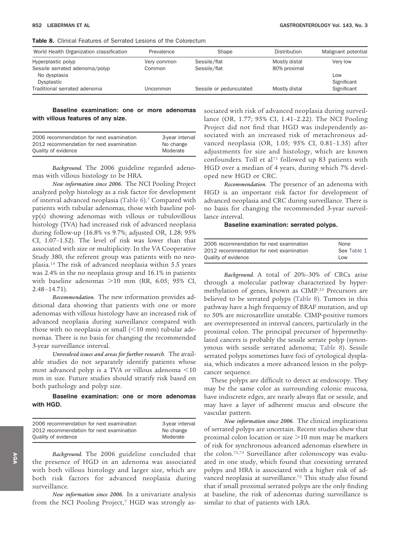<span id="page-8-0"></span>

| Table 8. Clinical Features of Serrated Lesions of the Colorectum |
|------------------------------------------------------------------|
|------------------------------------------------------------------|

| World Health Organization classification | Prevalence  | Shape                   | Distribution  | Malignant potential |
|------------------------------------------|-------------|-------------------------|---------------|---------------------|
| Hyperplastic polyp                       | Very common | Sessile/flat            | Mostly distal | Very low            |
| Sessile serrated adenoma/polyp           | Common      | Sessile/flat            | 80% proximal  |                     |
| No dysplasia                             |             |                         |               | Low                 |
| Dysplastic                               |             |                         |               | Significant         |
| Traditional serrated adenoma             | Uncommon    | Sessile or pedunculated | Mostly distal | Significant         |

#### **Baseline examination: one or more adenomas with villous features of any size.**

| 2006 recommendation for next examination | 3-year interval |
|------------------------------------------|-----------------|
| 2012 recommendation for next examination | No change       |
| Quality of evidence                      | Moderate        |

*Background.* The 2006 guideline regarded adenomas with villous histology to be HRA.

*New information since 2006.* The NCI Pooling Project analyzed polyp histology as a risk factor for development of interval advanced neoplasia [\(Table 6\)](#page-6-0)[.7](#page-11-6) Compared with patients with tubular adenomas, those with baseline polyp(s) showing adenomas with villous or tubulovillous histology (TVA) had increased risk of advanced neoplasia during follow-up (16.8% vs 9.7%; adjusted OR, 1.28; 95% CI, 1.07–1.52). The level of risk was lower than that associated with size or multiplicity. In the VA Cooperative Study 380, the referent group was patients with no neoplasia[.14](#page-12-1) The risk of advanced neoplasia within 5.5 years was 2.4% in the no neoplasia group and 16.1% in patients with baseline adenomas  $>$ 10 mm (RR, 6.05; 95% CI,  $2.48 - 14.71$ .

*Recommendation.* The new information provides additional data showing that patients with one or more adenomas with villous histology have an increased risk of advanced neoplasia during surveillance compared with those with no neoplasia or small  $(<$ 10 mm) tubular adenomas. There is no basis for changing the recommended 3-year surveillance interval.

*Unresolved issues and areas for further research.* The available studies do not separately identify patients whose most advanced polyp is a TVA or villous adenoma  $\leq 10$ mm in size. Future studies should stratify risk based on both pathology and polyp size.

### **Baseline examination: one or more adenomas with HGD.**

| 2006 recommendation for next examination | 3-year interval |
|------------------------------------------|-----------------|
| 2012 recommendation for next examination | No change       |
| Quality of evidence                      | Moderate        |

*Background.* The 2006 guideline concluded that the presence of HGD in an adenoma was associated with both villous histology and larger size, which are both risk factors for advanced neoplasia during surveillance.

*New information since 2006.* In a univariate analysis from the NCI Pooling Project,<sup>7</sup> HGD was strongly associated with risk of advanced neoplasia during surveillance (OR, 1.77; 95% CI, 1.41–2.22). The NCI Pooling Project did not find that HGD was independently associated with an increased risk of metachronous advanced neoplasia (OR, 1.05; 95% CI, 0.81–1.35) after adjustments for size and histology, which are known confounders. Toll et al<sup>71</sup> followed up 83 patients with HGD over a median of 4 years, during which 7% developed new HGD or CRC.

*Recommendation.* The presence of an adenoma with HGD is an important risk factor for development of advanced neoplasia and CRC during surveillance. There is no basis for changing the recommended 3-year surveillance interval.

**Baseline examination: serrated polyps.**

| 2006 recommendation for next examination | None        |
|------------------------------------------|-------------|
| 2012 recommendation for next examination | See Table 1 |
| Quality of evidence                      | I ow        |

*Background.* A total of 20%–30% of CRCs arise through a molecular pathway characterized by hypermethylation of genes, known as CIMP[.23](#page-12-4) Precursors are believed to be serrated polyps [\(Table 8\)](#page-8-0). Tumors in this pathway have a high frequency of BRAF mutation, and up to 50% are microsatellite unstable. CIMP-positive tumors are overrepresented in interval cancers, particularly in the proximal colon. The principal precursor of hypermethylated cancers is probably the sessile serrate polyp (synonymous with sessile serrated adenoma; [Table 8\)](#page-8-0). Sessile serrated polyps sometimes have foci of cytological dysplasia, which indicates a more advanced lesion in the polypcancer sequence.

These polyps are difficult to detect at endoscopy. They may be the same color as surrounding colonic mucosa, have indiscrete edges, are nearly always flat or sessile, and may have a layer of adherent mucus and obscure the vascular pattern.

*New information since 2006.* The clinical implications of serrated polyps are uncertain. Recent studies show that proximal colon location or size -10 mm may be markers of risk for synchronous advanced adenomas elsewhere in the colon[.72,73](#page-13-1) Surveillance after colonoscopy was evaluated in one study, which found that coexisting serrated polyps and HRA is associated with a higher risk of advanced neoplasia at surveillance.<sup>72</sup> This study also found that if small proximal serrated polyps are the only finding at baseline, the risk of adenomas during surveillance is similar to that of patients with LRA.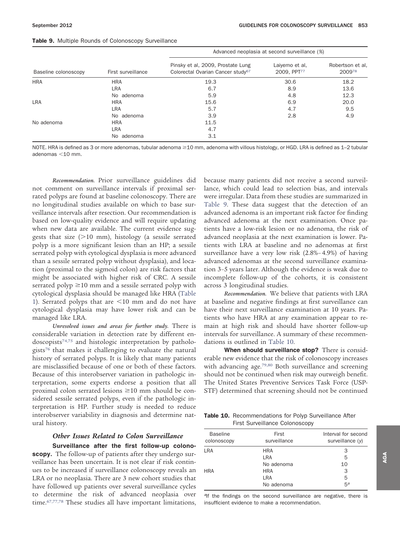<span id="page-9-0"></span>

|  |  |  | Table 9. Multiple Rounds of Colonoscopy Surveillance |  |
|--|--|--|------------------------------------------------------|--|
|--|--|--|------------------------------------------------------|--|

|                      |                    | Advanced neoplasia at second surveillance (%)                                      |                               |                            |  |
|----------------------|--------------------|------------------------------------------------------------------------------------|-------------------------------|----------------------------|--|
| Baseline colonoscopy | First surveillance | Pinsky et al, 2009, Prostate Lung<br>Colorectal Ovarian Cancer study <sup>67</sup> | Laiyemo et al,<br>2009, PPT77 | Robertson et al,<br>200978 |  |
| <b>HRA</b>           | <b>HRA</b>         | 19.3                                                                               | 30.6                          | 18.2                       |  |
|                      | <b>LRA</b>         | 6.7                                                                                | 8.9                           | 13.6                       |  |
|                      | No adenoma         | 5.9                                                                                | 4.8                           | 12.3                       |  |
| <b>LRA</b>           | <b>HRA</b>         | 15.6                                                                               | 6.9                           | 20.0                       |  |
|                      | <b>LRA</b>         | 5.7                                                                                | 4.7                           | 9.5                        |  |
|                      | No adenoma         | 3.9                                                                                | 2.8                           | 4.9                        |  |
| No adenoma           | <b>HRA</b>         | 11.5                                                                               |                               |                            |  |
|                      | <b>LRA</b>         | 4.7                                                                                |                               |                            |  |
|                      | No adenoma         | 3.1                                                                                |                               |                            |  |

NOTE. HRA is defined as 3 or more adenomas, tubular adenoma ≥10 mm, adenoma with villous histology, or HGD. LRA is defined as 1–2 tubular adenomas  $<$ 10 mm.

*Recommendation.* Prior surveillance guidelines did not comment on surveillance intervals if proximal serrated polyps are found at baseline colonoscopy. There are no longitudinal studies available on which to base surveillance intervals after resection. Our recommendation is based on low-quality evidence and will require updating when new data are available. The current evidence suggests that size (>10 mm), histology (a sessile serrated polyp is a more significant lesion than an HP; a sessile serrated polyp with cytological dysplasia is more advanced than a sessile serrated polyp without dysplasia), and location (proximal to the sigmoid colon) are risk factors that might be associated with higher risk of CRC. A sessile serrated polyp  $\geq 10$  mm and a sessile serrated polyp with cytological dysplasia should be managed like HRA [\(Table](#page-1-0) [1\)](#page-1-0). Serrated polyps that are  $\leq 10$  mm and do not have cytological dysplasia may have lower risk and can be managed like LRA.

*Unresolved issues and areas for further study.* There is considerable variation in detection rate by different endoscopist[s74,75](#page-13-18) and histologic interpretation by pathologist[s76](#page-13-19) that makes it challenging to evaluate the natural history of serrated polyps. It is likely that many patients are misclassified because of one or both of these factors. Because of this interobserver variation in pathologic interpretation, some experts endorse a position that all proximal colon serrated lesions  $\geq 10$  mm should be considered sessile serrated polyps, even if the pathologic interpretation is HP. Further study is needed to reduce interobserver variability in diagnosis and determine natural history.

## *Other Issues Related to Colon Surveillance*

**Surveillance after the first follow-up colonoscopy.** The follow-up of patients after they undergo surveillance has been uncertain. It is not clear if risk continues to be increased if surveillance colonoscopy reveals an LRA or no neoplasia. There are 3 new cohort studies that have followed up patients over several surveillance cycles to determine the risk of advanced neoplasia over time[.67,77,78](#page-13-3) These studies all have important limitations,

because many patients did not receive a second surveillance, which could lead to selection bias, and intervals were irregular. Data from these studies are summarized in [Table 9.](#page-9-0) These data suggest that the detection of an advanced adenoma is an important risk factor for finding advanced adenoma at the next examination. Once patients have a low-risk lesion or no adenoma, the risk of advanced neoplasia at the next examination is lower. Patients with LRA at baseline and no adenomas at first surveillance have a very low risk (2.8%– 4.9%) of having advanced adenomas at the second surveillance examination 3–5 years later. Although the evidence is weak due to incomplete follow-up of the cohorts, it is consistent across 3 longitudinal studies.

*Recommendation.* We believe that patients with LRA at baseline and negative findings at first surveillance can have their next surveillance examination at 10 years. Patients who have HRA at any examination appear to remain at high risk and should have shorter follow-up intervals for surveillance. A summary of these recommendations is outlined in [Table 10.](#page-9-1)

**When should surveillance stop?** There is considerable new evidence that the risk of colonoscopy increases with advancing age.<sup>79,80</sup> Both surveillance and screening should not be continued when risk may outweigh benefit. The United States Preventive Services Task Force (USP-STF) determined that screening should not be continued

<span id="page-9-1"></span>Table 10. Recommendations for Polyp Surveillance After First Surveillance Colonoscopy

| <b>Baseline</b><br>colonoscopy | First<br>surveillance | Interval for second<br>surveillance $(y)$ |
|--------------------------------|-----------------------|-------------------------------------------|
| <b>LRA</b>                     | <b>HRA</b>            | 3                                         |
|                                | LRA                   | 5                                         |
|                                | No adenoma            | 10                                        |
| <b>HRA</b>                     | <b>HRA</b>            | 3                                         |
|                                | LRA                   | 5                                         |
|                                | No adenoma            | 5 <sup>a</sup>                            |

alf the findings on the second surveillance are negative, there is insufficient evidence to make a recommendation.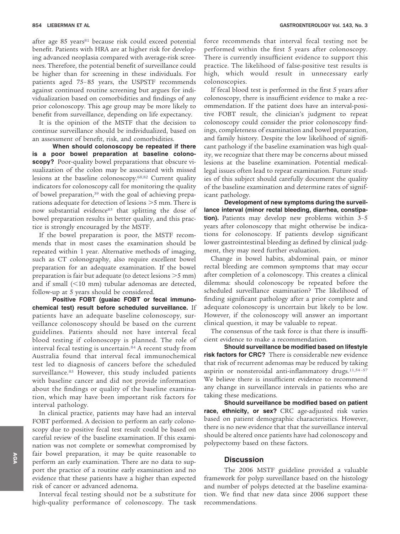after age 85 years<sup>81</sup> because risk could exceed potential benefit. Patients with HRA are at higher risk for developing advanced neoplasia compared with average-risk screenees. Therefore, the potential benefit of surveillance could be higher than for screening in these individuals. For patients aged 75– 85 years, the USPSTF recommends against continued routine screening but argues for individualization based on comorbidities and findings of any prior colonoscopy. This age group may be more likely to benefit from surveillance, depending on life expectancy.

It is the opinion of the MSTF that the decision to continue surveillance should be individualized, based on an assessment of benefit, risk, and comorbidities.

**When should colonoscopy be repeated if there is a poor bowel preparation at baseline colonoscopy?** Poor-quality bowel preparations that obscure visualization of the colon may be associated with missed lesions at the baseline colonoscopy[.68,82](#page-13-4) Current quality indicators for colonoscopy call for monitoring the quality of bowel preparation[,39](#page-12-24) with the goal of achieving preparations adequate for detection of lesions  $>$  5 mm. There is now substantial evidence<sup>83</sup> that splitting the dose of bowel preparation results in better quality, and this practice is strongly encouraged by the MSTF.

If the bowel preparation is poor, the MSTF recommends that in most cases the examination should be repeated within 1 year. Alternative methods of imaging, such as CT colonography, also require excellent bowel preparation for an adequate examination. If the bowel preparation is fair but adequate (to detect lesions  $>5$  mm) and if small  $(<10 \text{ mm})$  tubular adenomas are detected, follow-up at 5 years should be considered.

**Positive FOBT (guaiac FOBT or fecal immunochemical test) result before scheduled surveillance.** If patients have an adequate baseline colonoscopy, surveillance colonoscopy should be based on the current guidelines. Patients should not have interval fecal blood testing if colonoscopy is planned. The role of interval fecal testing is uncertain[.84](#page-13-5) A recent study from Australia found that interval fecal immunochemical test led to diagnosis of cancers before the scheduled surveillance.<sup>85</sup> However, this study included patients with baseline cancer and did not provide information about the findings or quality of the baseline examination, which may have been important risk factors for interval pathology.

In clinical practice, patients may have had an interval FOBT performed. A decision to perform an early colonoscopy due to positive fecal test result could be based on careful review of the baseline examination. If this examination was not complete or somewhat compromised by fair bowel preparation, it may be quite reasonable to perform an early examination. There are no data to support the practice of a routine early examination and no evidence that these patients have a higher than expected risk of cancer or advanced adenoma.

Interval fecal testing should not be a substitute for high-quality performance of colonoscopy. The task

force recommends that interval fecal testing not be performed within the first 5 years after colonoscopy. There is currently insufficient evidence to support this practice. The likelihood of false-positive test results is high, which would result in unnecessary early colonoscopies.

If fecal blood test is performed in the first 5 years after colonoscopy, there is insufficient evidence to make a recommendation. If the patient does have an interval-positive FOBT result, the clinician's judgment to repeat colonoscopy could consider the prior colonoscopy findings, completeness of examination and bowel preparation, and family history. Despite the low likelihood of significant pathology if the baseline examination was high quality, we recognize that there may be concerns about missed lesions at the baseline examination. Potential medicallegal issues often lead to repeat examination. Future studies of this subject should carefully document the quality of the baseline examination and determine rates of significant pathology.

**Development of new symptoms during the surveillance interval (minor rectal bleeding, diarrhea, constipation).** Patients may develop new problems within 3–5 years after colonoscopy that might otherwise be indications for colonoscopy. If patients develop significant lower gastrointestinal bleeding as defined by clinical judgment, they may need further evaluation.

Change in bowel habits, abdominal pain, or minor rectal bleeding are common symptoms that may occur after completion of a colonoscopy. This creates a clinical dilemma: should colonoscopy be repeated before the scheduled surveillance examination? The likelihood of finding significant pathology after a prior complete and adequate colonoscopy is uncertain but likely to be low. However, if the colonoscopy will answer an important clinical question, it may be valuable to repeat.

The consensus of the task force is that there is insufficient evidence to make a recommendation.

**Should surveillance be modified based on lifestyle risk factors for CRC?** There is considerable new evidence that risk of recurrent adenomas may be reduced by taking aspirin or nonsteroidal anti-inflammatory drugs.<sup>11,54-57</sup> We believe there is insufficient evidence to recommend any change in surveillance intervals in patients who are taking these medications.

**Should surveillance be modified based on patient race, ethnicity, or sex?** CRC age-adjusted risk varies based on patient demographic characteristics. However, there is no new evidence that that the surveillance interval should be altered once patients have had colonoscopy and polypectomy based on these factors.

## **Discussion**

The 2006 MSTF guideline provided a valuable framework for polyp surveillance based on the histology and number of polyps detected at the baseline examination. We find that new data since 2006 support these recommendations.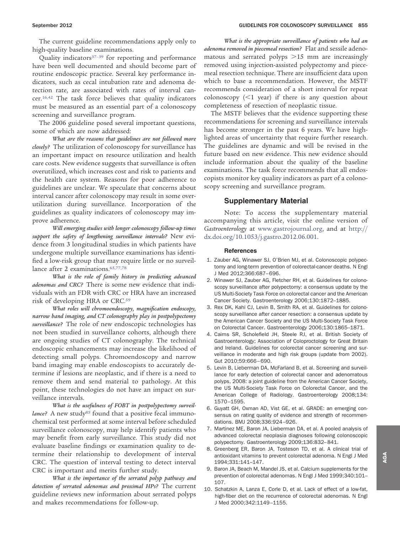The current guideline recommendations apply only to high-quality baseline examinations.

Quality indicators<sup>37-39</sup> for reporting and performance have been well documented and should become part of routine endoscopic practice. Several key performance indicators, such as cecal intubation rate and adenoma detection rate, are associated with rates of interval cancer[.16,42](#page-12-2) The task force believes that quality indicators must be measured as an essential part of a colonoscopy screening and surveillance program.

The 2006 guideline posed several important questions, some of which are now addressed:

*What are the reasons that guidelines are not followed more closely?* The utilization of colonoscopy for surveillance has an important impact on resource utilization and health care costs. New evidence suggests that surveillance is often overutilized, which increases cost and risk to patients and the health care system. Reasons for poor adherence to guidelines are unclear. We speculate that concerns about interval cancer after colonoscopy may result in some overutilization during surveillance. Incorporation of the guidelines as quality indicators of colonoscopy may improve adherence.

*Will emerging studies with longer colonoscopy follow-up times support the safety of lengthening surveillance intervals?* New evidence from 3 longitudinal studies in which patients have undergone multiple surveillance examinations has identified a low-risk group that may require little or no surveillance after 2 examinations[.65,77,78](#page-13-13)

*What is the role of family history in predicting advanced adenomas and CRC?* There is some new evidence that individuals with an FDR with CRC or HRA have an increased risk of developing HRA or CRC[.59](#page-13-2)

*What roles will chromoendoscopy, magnification endoscopy, narrow band imaging, and CT colonography play in postpolypectomy surveillance?* The role of new endoscopic technologies has not been studied in surveillance cohorts, although there are ongoing studies of CT colonography. The technical endoscopic enhancements may increase the likelihood of detecting small polyps. Chromoendoscopy and narrow band imaging may enable endoscopists to accurately determine if lesions are neoplastic, and if there is a need to remove them and send material to pathology. At this point, these technologies do not have an impact on surveillance intervals.

*What is the usefulness of FOBT in postpolypectomy surveillance*? A new study<sup>85</sup> found that a positive fecal immunochemical test performed at some interval before scheduled surveillance colonoscopy, may help identify patients who may benefit from early surveillance. This study did not evaluate baseline findings or examination quality to determine their relationship to development of interval CRC. The question of interval testing to detect interval CRC is important and merits further study.

*What is the importance of the serrated polyp pathway and detection of serrated adenomas and proximal HPs?* The current guideline reviews new information about serrated polyps and makes recommendations for follow-up.

*What is the appropriate surveillance of patients who had an adenoma removed in piecemeal resection?* Flat and sessile adenomatous and serrated polyps >15 mm are increasingly removed using injection-assisted polypectomy and piecemeal resection technique. There are insufficient data upon which to base a recommendation. However, the MSTF recommends consideration of a short interval for repeat colonoscopy  $(<1$  year) if there is any question about completeness of resection of neoplastic tissue.

The MSTF believes that the evidence supporting these recommendations for screening and surveillance intervals has become stronger in the past 6 years. We have highlighted areas of uncertainty that require further research. The guidelines are dynamic and will be revised in the future based on new evidence. This new evidence should include information about the quality of the baseline examinations. The task force recommends that all endoscopists monitor key quality indicators as part of a colonoscopy screening and surveillance program.

#### **Supplementary Material**

Note: To access the supplementary material accompanying this article, visit the online version of *Gastroenterology* at [www.gastrojournal.org,](http://www.gastrojournal.org) and at [http://](http://dx.doi.org/10.1053/j.gastro.2012.06.001) [dx.doi.org/10.1053/j.gastro.2012.06.001.](http://dx.doi.org/10.1053/j.gastro.2012.06.001)

#### **References**

- <span id="page-11-0"></span>1. Zauber AG, Winawer SJ, O'Brien MJ, et al. Colonoscopic polypectomy and long-term prevention of colorectal-cancer deaths. N Engl J Med 2012;366:687– 696.
- <span id="page-11-1"></span>2. Winawer SJ, Zauber AG, Fletcher RH, et al. Guidelines for colonoscopy surveillance after polypectomy: a consensus update by the US Multi-Society Task Force on colorectal cancer and the American Cancer Society. Gastroenterology 2006;130:1872–1885.
- <span id="page-11-2"></span>3. Rex DK, Kahi CJ, Levin B, Smith RA, et al. Guidelines for colonoscopy surveillance after cancer resection: a consensus update by the American Cancer Society and the US Multi-Society Task Force on Colorectal Cancer. Gastroenterology 2006;130:1865–1871.
- <span id="page-11-3"></span>4. Cairns SR, Scholefield JH, Steele RJ, et al. British Society of Gastroenterology; Association of Coloproctology for Great Britain and Ireland. Guidelines for colorectal cancer screening and surveillance in moderate and high risk groups (update from 2002). Gut 2010;59:666 – 690.
- <span id="page-11-4"></span>5. Levin B, Lieberman DA, McFarland B, et al. Screening and surveillance for early detection of colorectal cancer and adenomatous polyps, 2008: a joint guideline from the American Cancer Society, the US Multi-Society Task Force on Colorectal Cancer, and the American College of Radiology. Gastroenterology 2008;134: 1570 –1595.
- <span id="page-11-5"></span>6. Guyatt GH, Oxman AD, Vist GE, et al. GRADE: an emerging consensus on rating quality of evidence and strength of recommendations. BMJ 2008;336:924 –926.
- <span id="page-11-6"></span>7. Martinez ME, Baron JA, Lieberman DA, et al. A pooled analysis of advanced colorectal neoplasia diagnoses following colonoscopic polypectomy. Gastroenterology 2009;136:832– 841.
- <span id="page-11-7"></span>8. Greenberg ER, Baron JA, Tosteson TD, et al. A clinical trial of antioxidant vitamins to prevent colorectal adenoma. N Engl J Med 1994;331:141–147.
- 9. Baron JA, Beach M, Mandel JS, et al. Calcium supplements for the prevention of colorectal adenomas. N Engl J Med 1999;340:101– 107.
- 10. Schatzkin A, Lanza E, Corle D, et al. Lack of effect of a low-fat, high-fiber diet on the recurrence of colorectal adenomas. N Engl J Med 2000;342:1149 –1155.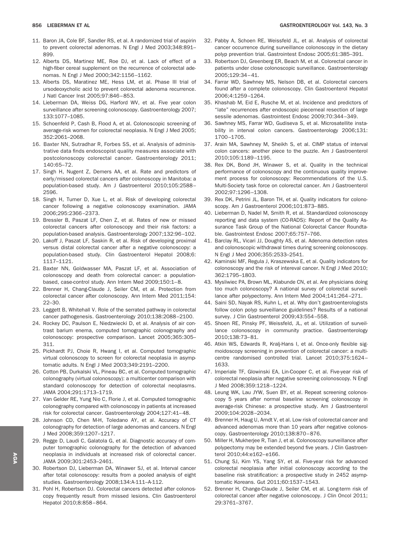- <span id="page-12-25"></span>11. Baron JA, Cole BF, Sandler RS, et al. A randomized trial of aspirin to prevent colorectal adenomas. N Engl J Med 2003;348:891– 899.
- 12. Alberts DS, Martinez ME, Roe DJ, et al. Lack of effect of a high-fiber cereal supplement on the recurrence of colorectal adenomas. N Engl J Med 2000;342:1156 –1162.
- 13. Alberts DS, Maratinez ME, Hess LM, et al. Phase III trial of ursodeoxycholic acid to prevent colorectal adenoma recurrence. J Natl Cancer Inst 2005;97:846 – 853.
- <span id="page-12-1"></span>14. Lieberman DA, Weiss DG, Harford WV, et al. Five year colon surveillance after screening colonoscopy. Gastroenterology 2007; 133:1077–1085.
- 15. Schoenfeld P, Cash B, Flood A, et al. Colonoscopic screening of average-risk women for colorectal neoplasia. N Engl J Med 2005; 352:2061–2068.
- <span id="page-12-2"></span>16. Baxter NN, Sutradhar R, Forbes SS, et al. Analysis of administrative data finds endoscopist quality measures associate with postcolonoscopy colorectal cancer. Gastroenterology 2011; 140:65–72.
- <span id="page-12-3"></span>17. Singh H, Nugent Z, Demers AA, et al. Rate and predictors of early/missed colorectal cancers after colonoscopy in Manitoba: a population-based study. Am J Gastroenterol 2010;105:2588 – 2596.
- <span id="page-12-12"></span><span id="page-12-0"></span>18. Singh H, Turner D, Xue L, et al. Risk of developing colorectal cancer following a negative colonoscopy examination. JAMA 2006;295:2366 –2373.
- 19. Bressler B, Paszat LF, Chen Z, et al. Rates of new or missed colorectal cancers after colonoscopy and their risk factors: a population-based analysis. Gastroenterology 2007;132:96 –102.
- 20. Lakoff J, Paszat LF, Saskin R, et al. Risk of developing proximal versus distal colorectal cancer after a negative colonoscopy: a population-based study. Clin Gastroenterol Hepatol 2008;6: 1117–1121.
- 21. Baxter NN, Goldwasser MA, Paszat LF, et al. Association of colonoscopy and death from colorectal cancer: a populationbased, case-control study. Ann Intern Med 2009;150:1– 8.
- 22. Brenner H, Chang-Claude J, Seiler CM, et al. Protection from colorectal cancer after colonoscopy. Ann Intern Med 2011;154: 22–30.
- <span id="page-12-5"></span><span id="page-12-4"></span>23. Leggett B, Whitehall V. Role of the serrated pathway in colorectal cancer pathogenesis. Gastroenterology 2010;138:2088 –2100.
- 24. Rockey DC, Paulson E, Niedzwiecki D, et al. Analysis of air contrast barium enema, computed tomographic colonography and colonoscopy: prospective comparison. Lancet 2005;365:305– 311.
- 25. Pickhardt PJ, Choie R, Hwang I, et al. Computed tomographic virtual colonoscopy to screen for colorectal neoplasia in asymptomatic adults. N Engl J Med 2003;349:2191–2200.
- 26. Cotton PB, Durkalski VL, Pineau BC, et al. Computed tomographic colonography (virtual colonoscopy): a multicenter comparison with standard colonoscopy for detection of colorectal neoplasms. JAMA 2004;291:1713–1719.
- 27. Van Gelder RE, Yung Nio C, Florie J, et al. Computed tomographic colonography compared with colonoscopy in patients at increased risk for colorectal cancer. Gastroenterology 2004;127:41– 48.
- 28. Johnson CD, Chen M-H, Toledano AY, et al. Accuracy of CT colonography for detection of large adenomas and cancers. N Engl J Med 2008;359:1207–1217.
- 29. Regge D, Laudi C, Galatola G, et al. Diagnostic accuracy of computer tomographic colonography for the detection of advanced neoplasia in individuals at increased risk of colorectal cancer. JAMA 2009;301:2453–2461.
- <span id="page-12-6"></span>30. Robertson DJ, Lieberman DA, Winawer SJ, et al. Interval cancer after total colonoscopy: results from a pooled analysis of eight studies. Gastroenterology 2008;134:A-111–A-112.
- 31. Pohl H, Robertson DJ. Colorectal cancers detected after colonoscopy frequently result from missed lesions. Clin Gastroenterol Hepatol 2010;8:858 – 864.
- <span id="page-12-11"></span><span id="page-12-10"></span><span id="page-12-9"></span><span id="page-12-8"></span>32. Pabby A, Schoen RE, Weissfeld JL, et al. Analysis of colorectal cancer occurrence during surveillance colonoscopy in the dietary polyp prevention trial. Gastrointest Endosc 2005;61:385–391.
- 33. Robertson DJ, Greenberg ER, Beach M, et al. Colorectal cancer in patients under close colonoscopic surveillance. Gastroenterology 2005;129:34 – 41.
- 34. Farrar WD, Sawhney MS, Nelson DB, et al. Colorectal cancers found after a complete colonoscopy. Clin Gastroenterol Hepatol 2006;4:1259 –1264.
- 35. Khashab M, Eid E, Rusche M, et al. Incidence and predictors of "late" recurrences after endoscopic piecemeal resection of large sessile adenomas. Gastrointest Endosc 2009;70:344 –349.
- <span id="page-12-7"></span>36. Sawhney MS, Farrar WD, Gudiseva S, et al. Microsatellite instability in interval colon cancers. Gastroenterology 2006;131: 1700 –1705.
- <span id="page-12-26"></span>37. Arain MA, Sawhney M, Sheikh S, et al. CIMP status of interval colon cancers: another piece to the puzzle. Am J Gastroenterol 2010;105:1189 –1195.
- <span id="page-12-13"></span>38. Rex DK, Bond JH, Winawer S, et al. Quality in the technical performance of colonoscopy and the continuous quality improvement process for colonoscopy: Recommendations of the U.S. Multi-Society task force on colorectal cancer. Am J Gastroenterol 2002;97:1296 –1308.
- <span id="page-12-24"></span><span id="page-12-15"></span>39. Rex DK, Petrini JL, Baron TH, et al. Quality indicators for colonoscopy. Am J Gastroenterol 2006;101:873– 885.
- 40. Lieberman D, Nadel M, Smith R, et al. Standardized colonoscopy reporting and data system (CO-RADS): Report of the Quality Assurance Task Group of the National Colorectal Cancer Roundtable. Gastrointest Endosc 2007;65:757–766.
- 41. Barclay RL, Vicari JJ, Doughty AS, et al. Adenoma detection rates and colonoscopic withdrawal times during screening colonoscopy. N Engl J Med 2006;355:2533–2541.
- <span id="page-12-14"></span>42. Kaminski MF, Regula J, Kraszewska E, et al. Quality indicators for colonoscopy and the risk of intereval cancer. N Engl J Med 2010; 362:1795–1803.
- <span id="page-12-16"></span>43. Mysliwiec PA, Brown ML, Klabunde CN, et al. Are physicians doing too much colonoscopy? A national survey of colorectal surveillance after polypectomy. Ann Intern Med 2004;141:264 –271.
- 44. Saini SD, Nayak RS, Kuhn L, et al. Why don't gastroenterologists follow colon polyp surveillance guidelines? Results of a national survey. J Clin Gastroenterol 2009;43:554 –558.
- <span id="page-12-17"></span>45. Shoen RE, Pinsky PF, Weissfeld, JL, et al. Utilization of surveillance colonoscopy in community practice. Gastroenterology 2010;138:73– 81.
- <span id="page-12-18"></span>46. Atkin WS, Edwards R, Kralj-Hans I, et al. Once-only flexible sigmoidoscopy screening in prevention of colorectal cancer: a multicentre randomised controlled trial. Lancet 2010;375:1624 – 1633.
- <span id="page-12-19"></span>47. Imperiale TF, Glowinski EA, Lin-Cooper C, et al. Five-year risk of colorectal neoplasia after negative screening colonoscopy. N Engl J Med 2008;359:1218 –1224.
- <span id="page-12-20"></span>48. Leung WK, Lau JYW, Suen BY, et al. Repeat screening colonoscopy 5 years after normal baseline screening colonoscopy in average-risk Chinese: a prospective study. Am J Gastroenterol 2009;104:2028 –2034.
- <span id="page-12-21"></span>49. Brenner H, Haug U, Arndt V, et al. Low risk of colorectal cancer and advanced adenomas more than 10 years after negative colonoscopy. Gastroenterology 2010;138:870 – 876.
- <span id="page-12-22"></span>50. Miller H, Mukherjee R, Tian J, et al. Colonoscopy surveillance after polypectomy may be extended beyond five years. J Clin Gastroenterol 2010;44:e162-e166.
- <span id="page-12-23"></span>51. Chung SJ, Kim YS, Yang SY, et al. Five-year risk for advanced colorectal neoplasia after initial colonoscopy according to the baseline risk stratification: a prospective study in 2452 asymptomatic Koreans. Gut 2011;60:1537–1543.
- 52. Brenner H, Change-Claude J, Seiler CM, et al. Long-term risk of colorectal cancer after negative colonoscopy. J Clin Oncol 2011; 29:3761–3767.